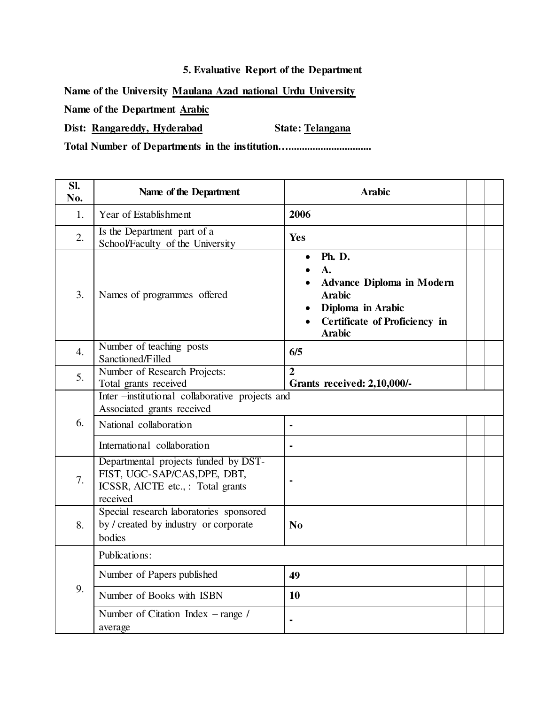## **5. Evaluative Report of the Department**

**Name of the University Maulana Azad national Urdu University** 

**Name of the Department Arabic** 

Dist: **Rangareddy, Hyderabad** State: Telangana

**Total Number of Departments in the institution…...............................**

| SI.<br>No.       | Name of the Department                                                                                                                 | <b>Arabic</b>                                                                                                                                                            |  |  |
|------------------|----------------------------------------------------------------------------------------------------------------------------------------|--------------------------------------------------------------------------------------------------------------------------------------------------------------------------|--|--|
| 1.               | Year of Establishment                                                                                                                  | 2006                                                                                                                                                                     |  |  |
| 2.               | Is the Department part of a<br>School/Faculty of the University                                                                        | Yes                                                                                                                                                                      |  |  |
| 3.               | Names of programmes offered                                                                                                            | <b>Ph. D.</b><br>$\bullet$<br>$\mathbf{A}$ .<br><b>Advance Diploma in Modern</b><br><b>Arabic</b><br>Diploma in Arabic<br>Certificate of Proficiency in<br><b>Arabic</b> |  |  |
| $\overline{4}$ . | Number of teaching posts<br>Sanctioned/Filled                                                                                          | 6/5                                                                                                                                                                      |  |  |
| 5.               | Number of Research Projects:<br>Total grants received                                                                                  | $\overline{2}$<br><b>Grants received: 2,10,000/-</b>                                                                                                                     |  |  |
| 6.               | Inter -institutional collaborative projects and<br>Associated grants received<br>National collaboration<br>International collaboration | $\blacksquare$                                                                                                                                                           |  |  |
| 7.               | Departmental projects funded by DST-<br>FIST, UGC-SAP/CAS, DPE, DBT,<br>ICSSR, AICTE etc., : Total grants<br>received                  | $\blacksquare$                                                                                                                                                           |  |  |
| 8.               | Special research laboratories sponsored<br>by / created by industry or corporate<br>bodies                                             | N <sub>0</sub>                                                                                                                                                           |  |  |
| 9.               | Publications:                                                                                                                          |                                                                                                                                                                          |  |  |
|                  | Number of Papers published                                                                                                             | 49                                                                                                                                                                       |  |  |
|                  | Number of Books with ISBN                                                                                                              | 10                                                                                                                                                                       |  |  |
|                  | Number of Citation Index $-$ range /<br>average                                                                                        | $\blacksquare$                                                                                                                                                           |  |  |